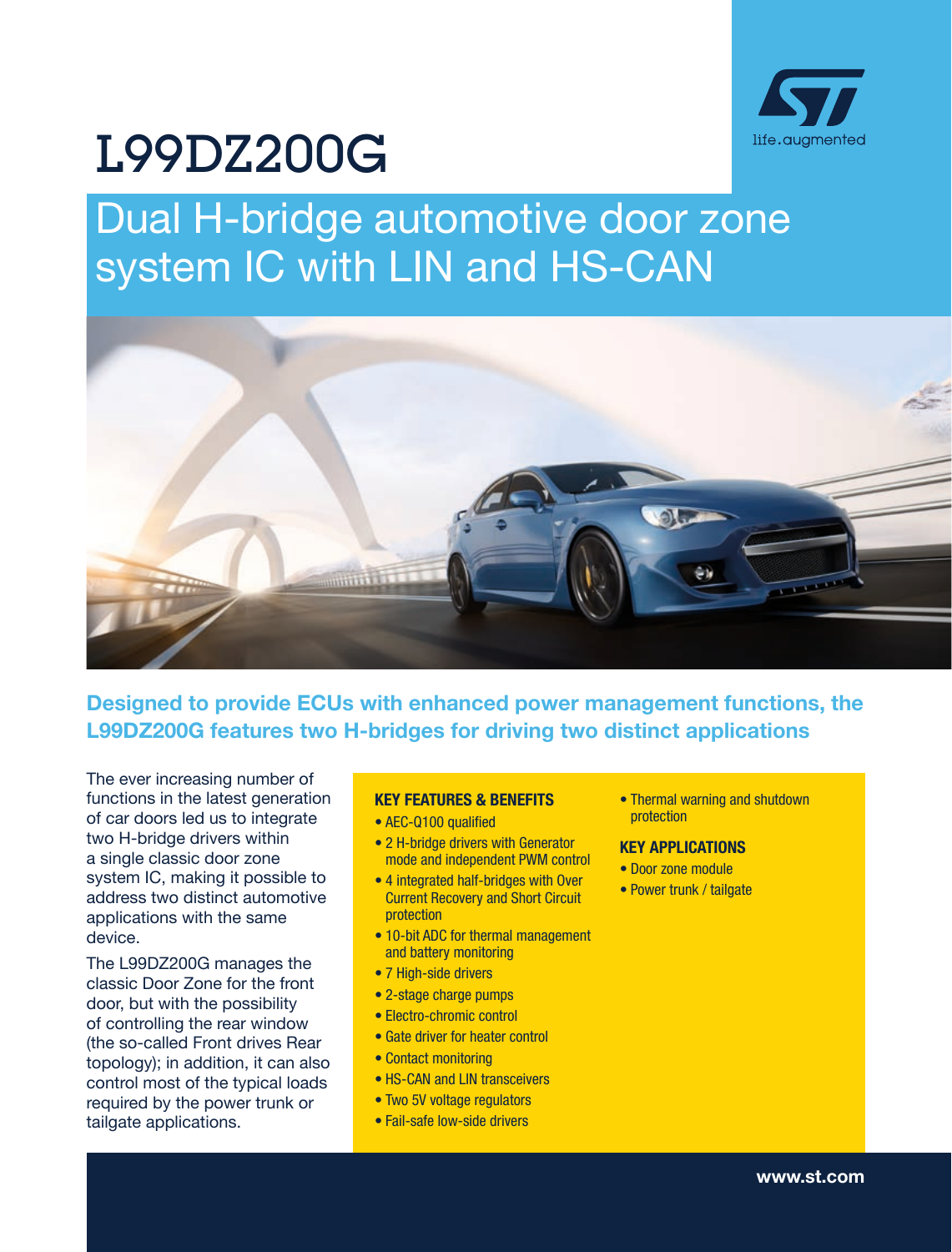

# L99DZ200G

# Dual H-bridge automotive door zone system IC with LIN and HS-CAN



Designed to provide ECUs with enhanced power management functions, the L99DZ200G features two H-bridges for driving two distinct applications

The ever increasing number of functions in the latest generation of car doors led us to integrate two H-bridge drivers within a single classic door zone system IC, making it possible to address two distinct automotive applications with the same device.

The L99DZ200G manages the classic Door Zone for the front door, but with the possibility of controlling the rear window (the so-called Front drives Rear topology); in addition, it can also control most of the typical loads required by the power trunk or tailgate applications.

#### KEY FEATURES & BENEFITS

- AEC-Q100 qualified
- 2 H-bridge drivers with Generator mode and independent PWM control
- 4 integrated half-bridges with Over Current Recovery and Short Circuit protection
- 10-bit ADC for thermal management and battery monitoring
- 7 High-side drivers
- 2-stage charge pumps
- Electro-chromic control
- Gate driver for heater control
- Contact monitoring
- HS-CAN and LIN transceivers
- Two 5V voltage regulators
- Fail-safe low-side drivers

• Thermal warning and shutdown protection

### KEY APPLICATIONS

- Door zone module
- Power trunk / tailgate